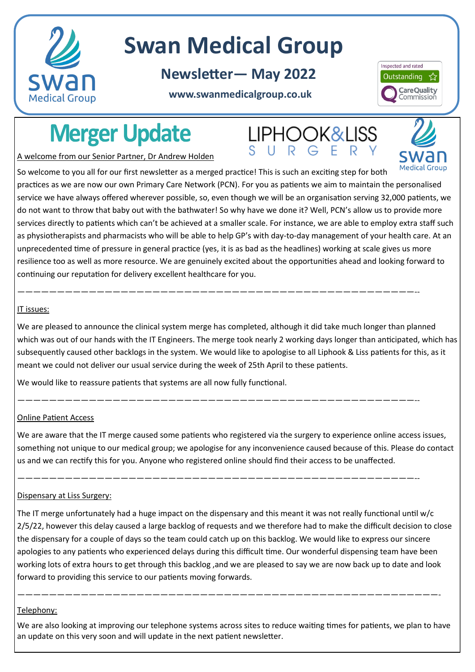

# **Swan Medical Group**

**Newsletter— May 2022**

## **www.swanmedicalgroup.co.uk**



# **Merger Update**

**LIPHOOK&LISS** SURGER



A welcome from our Senior Partner, Dr Andrew Holden

So welcome to you all for our first newsletter as a merged practice! This is such an exciting step for both practices as we are now our own Primary Care Network (PCN). For you as patients we aim to maintain the personalised service we have always offered wherever possible, so, even though we will be an organisation serving 32,000 patients, we do not want to throw that baby out with the bathwater! So why have we done it? Well, PCN's allow us to provide more services directly to patients which can't be achieved at a smaller scale. For instance, we are able to employ extra staff such as physiotherapists and pharmacists who will be able to help GP's with day-to-day management of your health care. At an unprecedented time of pressure in general practice (yes, it is as bad as the headlines) working at scale gives us more resilience too as well as more resource. We are genuinely excited about the opportunities ahead and looking forward to continuing our reputation for delivery excellent healthcare for you.

#### IT issues:

We are pleased to announce the clinical system merge has completed, although it did take much longer than planned which was out of our hands with the IT Engineers. The merge took nearly 2 working days longer than anticipated, which has subsequently caused other backlogs in the system. We would like to apologise to all Liphook & Liss patients for this, as it meant we could not deliver our usual service during the week of 25th April to these patients.

——————————————————————————————————————————————————--

——————————————————————————————————————————————————--

——————————————————————————————————————————————————--

We would like to reassure patients that systems are all now fully functional.

## Online Patient Access

We are aware that the IT merge caused some patients who registered via the surgery to experience online access issues, something not unique to our medical group; we apologise for any inconvenience caused because of this. Please do contact us and we can rectify this for you. Anyone who registered online should find their access to be unaffected.

## Dispensary at Liss Surgery:

The IT merge unfortunately had a huge impact on the dispensary and this meant it was not really functional until w/c 2/5/22, however this delay caused a large backlog of requests and we therefore had to make the difficult decision to close the dispensary for a couple of days so the team could catch up on this backlog. We would like to express our sincere apologies to any patients who experienced delays during this difficult time. Our wonderful dispensing team have been working lots of extra hours to get through this backlog ,and we are pleased to say we are now back up to date and look forward to providing this service to our patients moving forwards.

#### Telephony:

We are also looking at improving our telephone systems across sites to reduce waiting times for patients, we plan to have an update on this very soon and will update in the next patient newsletter.

—————————————————————————————————————————————————————-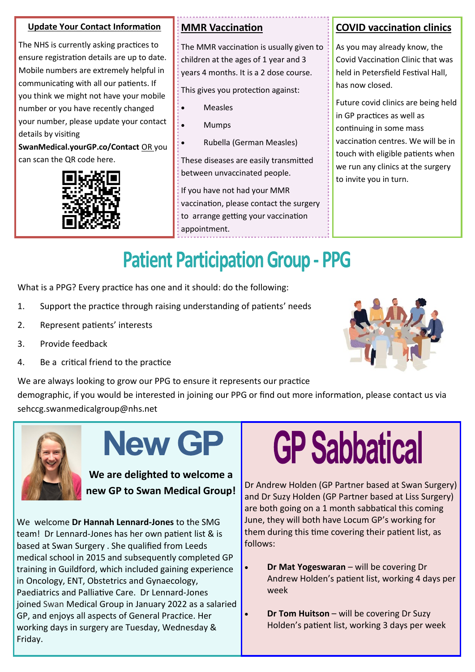## **Update Your Contact Information**

The NHS is currently asking practices to ensure registration details are up to date. Mobile numbers are extremely helpful in communicating with all our patients. If you think we might not have your mobile number or you have recently changed your number, please update your contact details by visiting

**SwanMedical.yourGP.co/Contact** OR you can scan the QR code here.



## **MMR Vaccination**

The MMR vaccination is usually given to children at the ages of 1 year and 3 years 4 months. It is a 2 dose course.

This gives you protection against:

- **Measles**
- Mumps
- Rubella (German Measles)

These diseases are easily transmitted between unvaccinated people.

If you have not had your MMR vaccination, please contact the surgery to arrange getting your vaccination appointment.

## **COVID vaccination clinics**

As you may already know, the Covid Vaccination Clinic that was held in Petersfield Festival Hall, has now closed.

Future covid clinics are being held in GP practices as well as continuing in some mass vaccination centres. We will be in touch with eligible patients when we run any clinics at the surgery to invite you in turn.

# **Patient Participation Group - PPG**

What is a PPG? Every practice has one and it should: do the following:

- 1. Support the practice through raising understanding of patients' needs
- 2. Represent patients' interests
- 3. Provide feedback
- 4. Be a critical friend to the practice

We are always looking to grow our PPG to ensure it represents our practice demographic, if you would be interested in joining our PPG or find out more information, please contact us via sehccg.swanmedicalgroup@nhs.net



**New GP** 

**We are delighted to welcome a new GP to Swan Medical Group!** 

We welcome **Dr Hannah Lennard-Jones** to the SMG team! Dr Lennard-Jones has her own patient list & is based at Swan Surgery . She qualified from Leeds medical school in 2015 and subsequently completed GP training in Guildford, which included gaining experience in Oncology, ENT, Obstetrics and Gynaecology, Paediatrics and Palliative Care. Dr Lennard-Jones joined Swan Medical Group in January 2022 as a salaried GP, and enjoys all aspects of General Prac*t*ice. Her working days in surgery are Tuesday, Wednesday & Friday.

# **GP Sabbatical**

Dr Andrew Holden (GP Partner based at Swan Surgery) and Dr Suzy Holden (GP Partner based at Liss Surgery) are both going on a 1 month sabbatical this coming June, they will both have Locum GP's working for them during this time covering their patient list, as follows:

- **Dr Mat Yogeswaran** will be covering Dr Andrew Holden's patient list, working 4 days per week
- **Dr Tom Huitson** will be covering Dr Suzy Holden's patient list, working 3 days per week